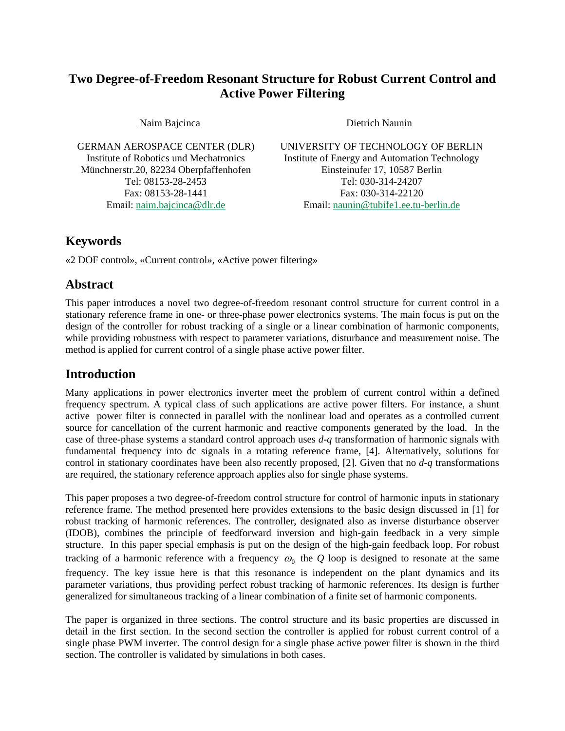# **Two Degree-of-Freedom Resonant Structure for Robust Current Control and Active Power Filtering**

Münchnerstr.20, 82234 Oberpfaffenhofen Einsteinufer 17, 10587 Berlin

Naim Bajcinca Dietrich Naunin

GERMAN AEROSPACE CENTER (DLR) UNIVERSITY OF TECHNOLOGY OF BERLIN Institute of Robotics und Mechatronics Institute of Energy and Automation Technology Tel: 08153-28-2453 Tel: 030-314-24207 Fax: 08153-28-1441 Fax: 030-314-22120 Email: [naim.bajcinca@dlr.de](mailto:naim.bajcinca@dlr.de) Email: [naunin@tubife1.ee.tu-berlin.de](mailto:naunin@tubife1.ee.tu-berlin.de)

## **Keywords**

«2 DOF control», «Current control», «Active power filtering»

### **Abstract**

This paper introduces a novel two degree-of-freedom resonant control structure for current control in a stationary reference frame in one- or three-phase power electronics systems. The main focus is put on the design of the controller for robust tracking of a single or a linear combination of harmonic components, while providing robustness with respect to parameter variations, disturbance and measurement noise. The method is applied for current control of a single phase active power filter.

# **Introduction**

Many applications in power electronics inverter meet the problem of current control within a defined frequency spectrum. A typical class of such applications are active power filters. For instance, a shunt active power filter is connected in parallel with the nonlinear load and operates as a controlled current source for cancellation of the current harmonic and reactive components generated by the load. In the case of three-phase systems a standard control approach uses *d-q* transformation of harmonic signals with fundamental frequency into dc signals in a rotating reference frame, [4]. Alternatively, solutions for control in stationary coordinates have been also recently proposed, [2]. Given that no *d-q* transformations are required, the stationary reference approach applies also for single phase systems.

This paper proposes a two degree-of-freedom control structure for control of harmonic inputs in stationary reference frame. The method presented here provides extensions to the basic design discussed in [1] for robust tracking of harmonic references. The controller, designated also as inverse disturbance observer (IDOB), combines the principle of feedforward inversion and high-gain feedback in a very simple structure. In this paper special emphasis is put on the design of the high-gain feedback loop. For robust tracking of a harmonic reference with a frequency  $\omega_0$  the *Q* loop is designed to resonate at the same frequency. The key issue here is that this resonance is independent on the plant dynamics and its parameter variations, thus providing perfect robust tracking of harmonic references. Its design is further generalized for simultaneous tracking of a linear combination of a finite set of harmonic components.

The paper is organized in three sections. The control structure and its basic properties are discussed in detail in the first section. In the second section the controller is applied for robust current control of a single phase PWM inverter. The control design for a single phase active power filter is shown in the third section. The controller is validated by simulations in both cases.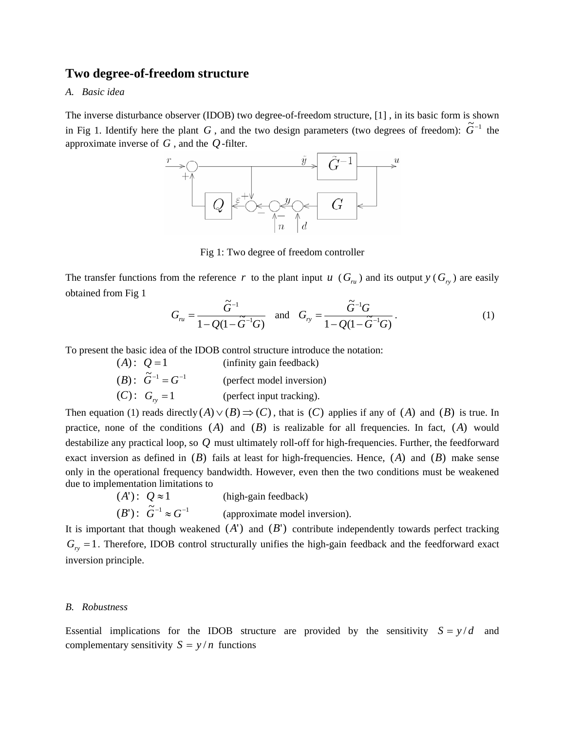## **Two degree-of-freedom structure**

### *A. Basic idea*

The inverse disturbance observer (IDOB) two degree-of-freedom structure, [1] , in its basic form is shown in Fig 1. Identify here the plant *G*, and the two design parameters (two degrees of freedom):  $\tilde{G}^{-1}$  the approximate inverse of *G* , and the *Q*-filter.



Fig 1: Two degree of freedom controller

The transfer functions from the reference r to the plant input  $u$  ( $G_{r}$ ) and its output  $y$  ( $G_{r}$ ) are easily obtained from Fig 1

$$
G_{ru} = \frac{\tilde{G}^{-1}}{1 - Q(1 - \tilde{G}^{-1}G)} \quad \text{and} \quad G_{ry} = \frac{\tilde{G}^{-1}G}{1 - Q(1 - \tilde{G}^{-1}G)}.
$$
 (1)

To present the basic idea of the IDOB control structure introduce the notation:

(*A*):  $Q = 1$  (infinity gain feedback)  $(B): \tilde{G}^{-1} = G^{-1}$  (perfect model inversion) (*C*):  $G_{ry} = 1$  (perfect input tracking).

Then equation (1) reads directly  $(A) \vee (B) \Rightarrow (C)$ , that is  $(C)$  applies if any of  $(A)$  and  $(B)$  is true. In practice, none of the conditions  $(A)$  and  $(B)$  is realizable for all frequencies. In fact,  $(A)$  would destabilize any practical loop, so  $Q$  must ultimately roll-off for high-frequencies. Further, the feedforward exact inversion as defined in  $(B)$  fails at least for high-frequencies. Hence,  $(A)$  and  $(B)$  make sense only in the operational frequency bandwidth. However, even then the two conditions must be weakened due to implementation limitations to

> $(A')$ :  $Q \approx 1$  (high-gain feedback) (*B*<sup>'</sup>):  $\tilde{G}^{-1} \approx G^{-1}$  (approximate model inversion).

It is important that though weakened  $(A')$  and  $(B')$  contribute independently towards perfect tracking  $G<sub>ry</sub> = 1$ . Therefore, IDOB control structurally unifies the high-gain feedback and the feedforward exact inversion principle.

#### *B. Robustness*

Essential implications for the IDOB structure are provided by the sensitivity  $S = y/d$  and complementary sensitivity  $S = y/n$  functions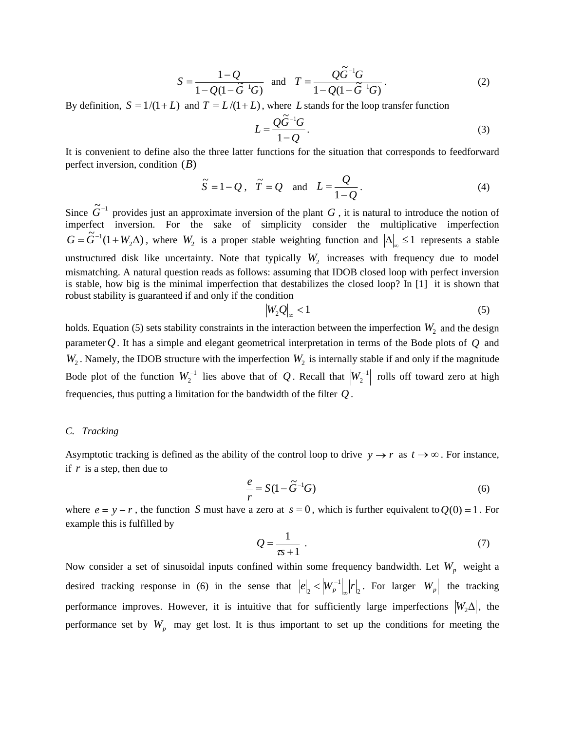$$
S = \frac{1 - Q}{1 - Q(1 - \tilde{G}^{-1}G)} \quad \text{and} \quad T = \frac{Q\tilde{G}^{-1}G}{1 - Q(1 - \tilde{G}^{-1}G)}.
$$
 (2)

By definition,  $S = 1/(1+L)$  and  $T = L/(1+L)$ , where L stands for the loop transfer function

$$
L = \frac{Q\tilde{G}^{-1}G}{1 - Q}.
$$
 (3)

It is convenient to define also the three latter functions for the situation that corresponds to feedforward perfect inversion, condition (*B*)

$$
\widetilde{S} = 1 - Q \,, \quad \widetilde{T} = Q \quad \text{and} \quad L = \frac{Q}{1 - Q} \,. \tag{4}
$$

Since  $\tilde{G}^{-1}$  provides just an approximate inversion of the plant G, it is natural to introduce the notion of imperfect inversion. For the sake of simplicity consider the multiplicative imperfection  $G = \tilde{G}^{-1}(1 + W_2\Delta)$ , where  $W_2$  is a proper stable weighting function and  $|\Delta|_{\infty} \le 1$  represents a stable unstructured disk like uncertainty. Note that typically  $W_2$  increases with frequency due to model mismatching. A natural question reads as follows: assuming that IDOB closed loop with perfect inversion is stable, how big is the minimal imperfection that destabilizes the closed loop? In [1] it is shown that robust stability is guaranteed if and only if the condition

$$
W_2 Q_{\infty} < 1 \tag{5}
$$

holds. Equation (5) sets stability constraints in the interaction between the imperfection  $W_2$  and the design parameter Q. It has a simple and elegant geometrical interpretation in terms of the Bode plots of Q and  $W_2$ . Namely, the IDOB structure with the imperfection  $W_2$  is internally stable if and only if the magnitude Bode plot of the function  $W_2^{-1}$  lies above that of *Q*. Recall that  $W_2^{-1}$  lies above that of Q. Recall that  $\left|W_2^{-1}\right|$  rolls off toward zero at high frequencies, thus putting a limitation for the bandwidth of the filter *Q* .

#### *C. Tracking*

Asymptotic tracking is defined as the ability of the control loop to drive  $y \rightarrow r$  as  $t \rightarrow \infty$ . For instance, if  $r$  is a step, then due to

$$
\frac{e}{r} = S(1 - \tilde{G}^{-1}G) \tag{6}
$$

where  $e = y - r$ , the function *S* must have a zero at  $s = 0$ , which is further equivalent to  $Q(0) = 1$ . For example this is fulfilled by

$$
Q = \frac{1}{\tau s + 1} \tag{7}
$$

Now consider a set of sinusoidal inputs confined within some frequency bandwidth. Let  $W_p$  weight a desired tracking response in (6) in the sense that  $|e|_2 < |W_p^{-1}|_{\infty} |r|_2$  $e \Big|_{2} < \Big| W_{p}^{-1} \Big|_{\infty} |r|_{2}$ . For larger  $\Big| W_{p} \Big|$  the tracking performance improves. However, it is intuitive that for sufficiently large imperfections  $|W_{2}\Delta|$ , the performance set by  $W_n$  may get lost. It is thus important to set up the conditions for meeting the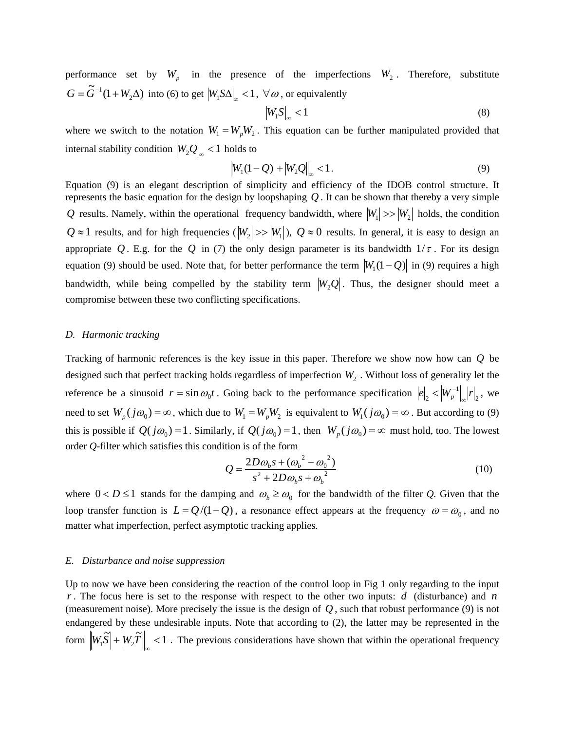performance set by  $W_p$  in the presence of the imperfections  $W_2$ . Therefore, substitute  $G = \tilde{G}^{-1}(1 + W_2 \Delta)$  into (6) to get  $|W_1 S \Delta|_{\infty} < 1$ ,  $\forall \omega$ , or equivalently

$$
\left|W_1 S\right|_{\infty} < 1\tag{8}
$$

where we switch to the notation  $W_1 = W_p W_2$ . This equation can be further manipulated provided that internal stability condition  $W_2Q|_{\infty} < 1$  holds to

$$
\|W_1(1-Q)\| + |W_2Q\|_{\infty} < 1.
$$
 (9)

Equation (9) is an elegant description of simplicity and efficiency of the IDOB control structure. It represents the basic equation for the design by loopshaping  $Q$ . It can be shown that thereby a very simple Q results. Namely, within the operational frequency bandwidth, where  $|W_1| \gg |W_2|$  holds, the condition  $Q \approx 1$  results, and for high frequencies  $(|W_2| \gg |W_1|)$ ,  $Q \approx 0$  results. In general, it is easy to design an appropriate Q. E.g. for the Q in (7) the only design parameter is its bandwidth  $1/\tau$ . For its design equation (9) should be used. Note that, for better performance the term  $|W_1(1 - Q)|$  in (9) requires a high bandwidth, while being compelled by the stability term  $|W_2Q|$ . Thus, the designer should meet a compromise between these two conflicting specifications.

#### *D. Harmonic tracking*

Tracking of harmonic references is the key issue in this paper. Therefore we show now how can  $Q$  be designed such that perfect tracking holds regardless of imperfection  $W_2$  . Without loss of generality let the reference be a sinusoid  $r = \sin \omega_0 t$ . Going back to the performance specification  $|e|_2 < |W_p^{-1}|_{\infty} |r|_2$ , we need to set  $W_p(j\omega_0) = \infty$ , which due to  $W_1 = W_p W_2$  is equivalent to  $W_1(j\omega_0) = \infty$ . But according to (9) this is possible if  $Q(j\omega_0) = 1$ . Similarly, if  $Q(j\omega_0) = 1$ , then  $W_p(j\omega_0) = \infty$  must hold, too. The lowest order *Q*-filter which satisfies this condition is of the form

$$
Q = \frac{2D\omega_b s + (\omega_b^2 - \omega_0^2)}{s^2 + 2D\omega_b s + \omega_b^2}
$$
 (10)

where  $0 < D \le 1$  stands for the damping and  $\omega_b \ge \omega_0$  for the bandwidth of the filter *Q*. Given that the loop transfer function is  $L = Q/(1-Q)$ , a resonance effect appears at the frequency  $\omega = \omega_0$ , and no matter what imperfection, perfect asymptotic tracking applies.

#### *E. Disturbance and noise suppression*

Up to now we have been considering the reaction of the control loop in Fig 1 only regarding to the input *r*. The focus here is set to the response with respect to the other two inputs: *d* (disturbance) and *n* (measurement noise). More precisely the issue is the design of *Q* , such that robust performance (9) is not endangered by these undesirable inputs. Note that according to (2), the latter may be represented in the form  $\left\|W_1 \tilde{S} \right\| + \left\|W_2 \tilde{T} \right\|_{\infty} < 1$ . The previous considerations have shown that within the operational frequency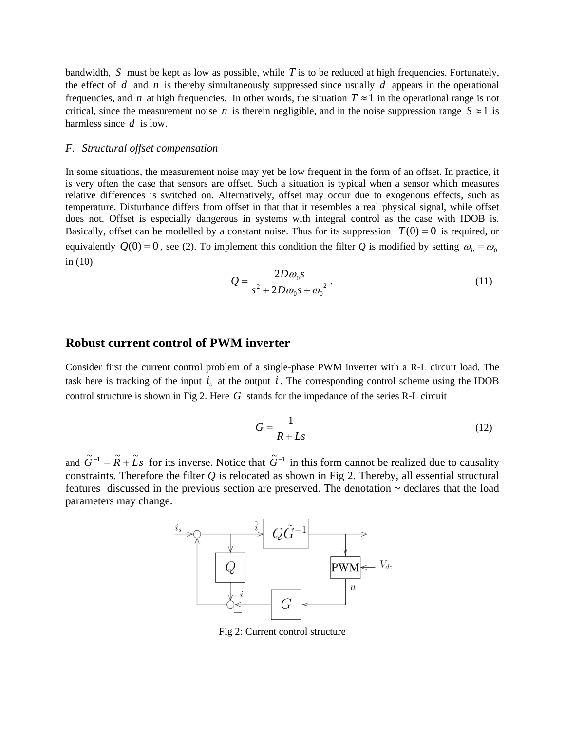bandwidth, S must be kept as low as possible, while  $T$  is to be reduced at high frequencies. Fortunately, the effect of  $d$  and  $n$  is thereby simultaneously suppressed since usually  $d$  appears in the operational frequencies, and *n* at high frequencies. In other words, the situation  $T \approx 1$  in the operational range is not critical, since the measurement noise *n* is therein negligible, and in the noise suppression range  $S \approx 1$  is harmless since *d* is low.

#### *F. Structural offset compensation*

In some situations, the measurement noise may yet be low frequent in the form of an offset. In practice, it is very often the case that sensors are offset. Such a situation is typical when a sensor which measures relative differences is switched on. Alternatively, offset may occur due to exogenous effects, such as temperature. Disturbance differs from offset in that that it resembles a real physical signal, while offset does not. Offset is especially dangerous in systems with integral control as the case with IDOB is. Basically, offset can be modelled by a constant noise. Thus for its suppression  $T(0) = 0$  is required, or equivalently  $Q(0) = 0$ , see (2). To implement this condition the filter *Q* is modified by setting  $\omega_b = \omega_0$ in (10)

$$
Q = \frac{2D\omega_0 s}{s^2 + 2D\omega_0 s + {\omega_0}^2}.
$$
\n(11)

### **Robust current control of PWM inverter**

task here is tracking of the input  $i_s$  at the output  $i$ . The corresponding control scheme using the IDOB Consider first the current control problem of a single-phase PWM inverter with a R-L circuit load. The control structure is shown in Fig 2. Here *G* stands for the impedance of the series R-L circuit

$$
G = \frac{1}{R + Ls} \tag{12}
$$

and  $\tilde{G}^{-1} = \tilde{R} + \tilde{L}s$  for its inverse. Notice that  $\tilde{G}^{-1}$  in this form cannot be realized due to causality constraints. Therefore the filter *Q* is relocated as shown in Fig 2. Thereby, all essential structural features discussed in the previous section are preserved. The denotation ~ declares that the load parameters may change.



Fig 2: Current control structure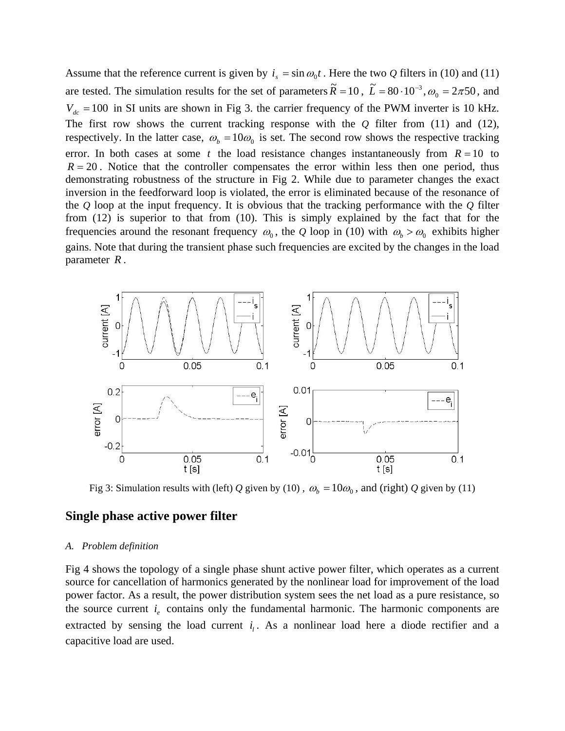Assume that the reference current is given by  $i<sub>s</sub> = \sin \omega_0 t$ . Here the two Q filters in (10) and (11) are tested. The simulation results for the set of parameters  $\tilde{R} = 10$ ,  $\tilde{L} = 80 \cdot 10^{-3}$ ,  $\omega_0 = 2\pi 50$ , and  $V_{dc}$  = 100 in SI units are shown in Fig 3. the carrier frequency of the PWM inverter is 10 kHz. The first row shows the current tracking response with the *Q* filter from (11) and (12), respectively. In the latter case,  $\omega_b = 10\omega_0$  is set. The second row shows the respective tracking error. In both cases at some *t* the load resistance changes instantaneously from  $R = 10$  to  $R = 20$ . Notice that the controller compensates the error within less then one period, thus demonstrating robustness of the structure in Fig 2. While due to parameter changes the exact inversion in the feedforward loop is violated, the error is eliminated because of the resonance of the *Q* loop at the input frequency. It is obvious that the tracking performance with the *Q* filter from (12) is superior to that from (10). This is simply explained by the fact that for the frequencies around the resonant frequency  $\omega_0$ , the *Q* loop in (10) with  $\omega_b > \omega_0$  exhibits higher gains. Note that during the transient phase such frequencies are excited by the changes in the load parameter *R* .



Fig 3: Simulation results with (left) *Q* given by (10),  $\omega_h = 10\omega_0$ , and (right) *Q* given by (11)

### **Single phase active power filter**

#### *A. Problem definition*

Fig 4 shows the topology of a single phase shunt active power filter, which operates as a current source for cancellation of harmonics generated by the nonlinear load for improvement of the load power factor. As a result, the power distribution system sees the net load as a pure resistance, so the source current  $i_e$  contains only the fundamental harmonic. The harmonic components are extracted by sensing the load current  $i_l$ . As a nonlinear load here a diode rectifier and a capacitive load are used.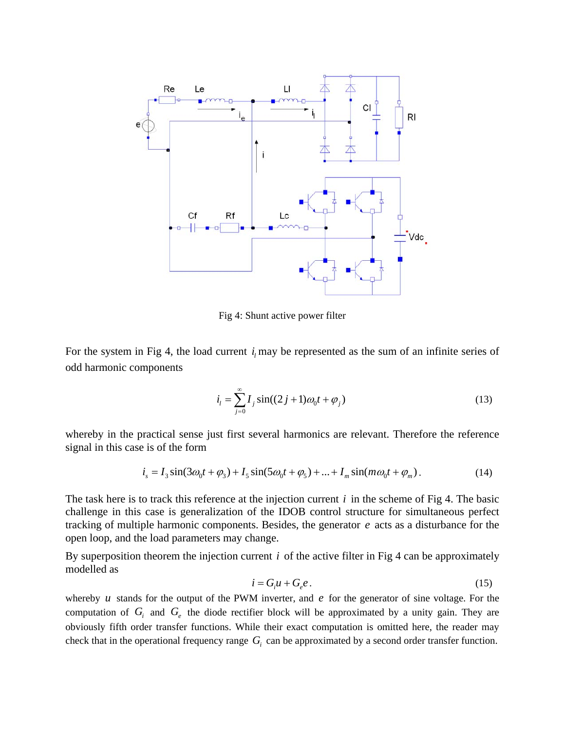

Fig 4: Shunt active power filter

For the system in Fig 4, the load current  $i<sub>i</sub>$  may be represented as the sum of an infinite series of odd harmonic components

$$
i_{l} = \sum_{j=0}^{\infty} I_{j} \sin((2j+1)\omega_{0}t + \varphi_{j})
$$
\n(13)

whereby in the practical sense just first several harmonics are relevant. Therefore the reference signal in this case is of the form

$$
i_s = I_3 \sin(3\omega_0 t + \varphi_3) + I_5 \sin(5\omega_0 t + \varphi_5) + \dots + I_m \sin(m\omega_0 t + \varphi_m). \tag{14}
$$

The task here is to track this reference at the injection current *i* in the scheme of Fig 4. The basic challenge in this case is generalization of the IDOB control structure for simultaneous perfect tracking of multiple harmonic components. Besides, the generator *e* acts as a disturbance for the open loop, and the load parameters may change.

By superposition theorem the injection current *i* of the active filter in Fig 4 can be approximately modelled as

$$
i = G_i u + G_e e. \tag{15}
$$

whereby  $u$  stands for the output of the PWM inverter, and  $e$  for the generator of sine voltage. For the computation of  $G_i$  and  $G_e$  the diode rectifier block will be approximated by a unity gain. They are obviously fifth order transfer functions. While their exact computation is omitted here, the reader may check that in the operational frequency range  $G_i$  can be approximated by a second order transfer function.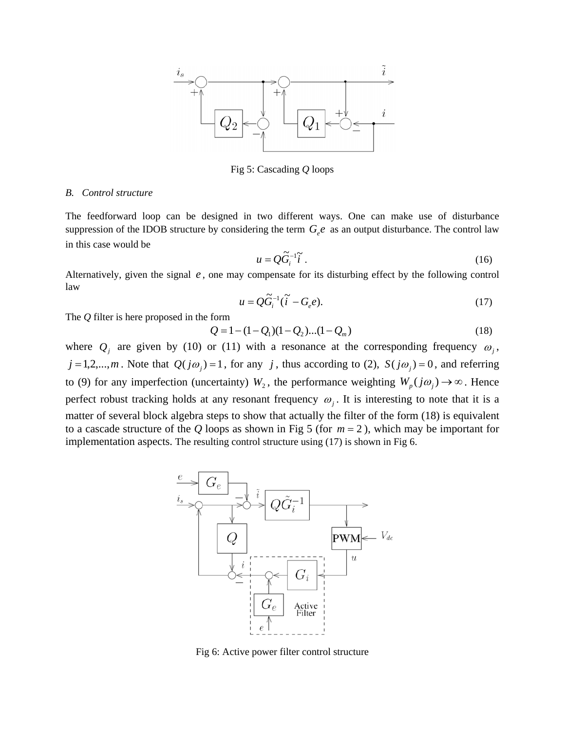

Fig 5: Cascading *Q* loops

#### *B. Control structure*

The feedforward loop can be designed in two different ways. One can make use of disturbance suppression of the IDOB structure by considering the term  $G_e$ e as an output disturbance. The control law in this case would be

$$
u = Q\widetilde{G}_i^{-1}\widetilde{t} \tag{16}
$$

Alternatively, given the signal  $e$ , one may compensate for its disturbing effect by the following control law

$$
u = Q\widetilde{G}_i^{-1}(\widetilde{i} - G_e e). \tag{17}
$$

The *Q* filter is here proposed in the form

$$
Q = 1 - (1 - Q_1)(1 - Q_2)...(1 - Q_m)
$$
\n(18)

where  $Q_i$  are given by (10) or (11) with a resonance at the corresponding frequency  $\omega_i$ ,  $j = 1, 2, \dots, m$ . Note that  $Q(j\omega_i) = 1$ , for any *j*, thus according to (2),  $S(j\omega_i) = 0$ , and referring to (9) for any imperfection (uncertainty)  $W_2$ , the performance weighting  $W_p(j\omega_j) \rightarrow \infty$ . Hence perfect robust tracking holds at any resonant frequency  $\omega_i$ . It is interesting to note that it is a matter of several block algebra steps to show that actually the filter of the form (18) is equivalent to a cascade structure of the *Q* loops as shown in Fig 5 (for  $m = 2$ ), which may be important for implementation aspects. The resulting control structure using (17) is shown in Fig 6.



Fig 6: Active power filter control structure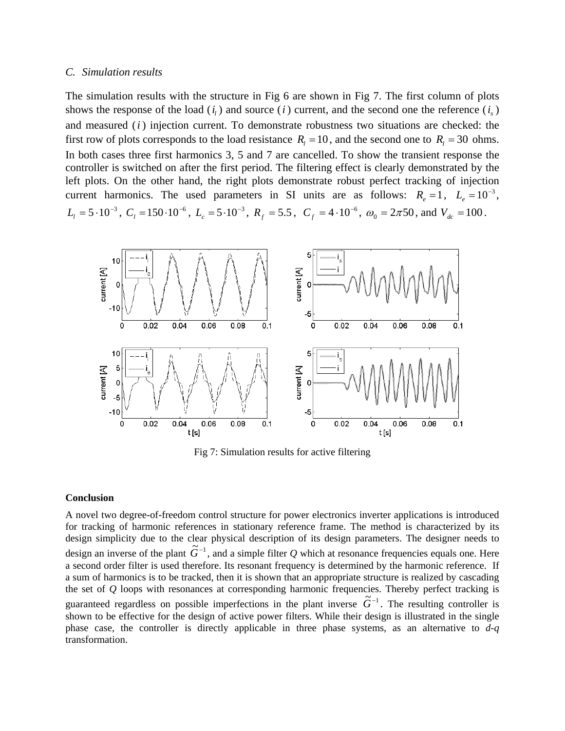#### *C. Simulation results*

The simulation results with the structure in Fig 6 are shown in Fig 7. The first column of plots shows the response of the load  $(i_l)$  and source  $(i)$  current, and the second one the reference  $(i_s)$ and measured (*i* ) injection current. To demonstrate robustness two situations are checked: the first row of plots corresponds to the load resistance  $R_l = 10$ , and the second one to  $R_l = 30$  ohms. current harmonics. The used parameters in SI units are as follows:  $R_e = 1$ ,  $L_e = 10^{-3}$ ,  $L_1 = 5 \cdot 10^{-3}$ ,  $C_1 = 150 \cdot 10^{-6}$ ,  $L_c = 5 \cdot 10^{-3}$ ,  $R_f = 5.5$ ,  $C_f = 4 \cdot 10^{-6}$ ,  $\omega_0 = 2\pi 50$ , and  $V_{dc} = 100$ . In both cases three first harmonics 3, 5 and 7 are cancelled. To show the transient response the controller is switched on after the first period. The filtering effect is clearly demonstrated by the left plots. On the other hand, the right plots demonstrate robust perfect tracking of injection



Fig 7: Simulation results for active filtering

#### **Conclusion**

A novel two degree-of-freedom control structure for power electronics inverter applications is introduced for tracking of harmonic references in stationary reference frame. The method is characterized by its design simplicity due to the clear physical description of its design parameters. The designer needs to design an inverse of the plant  $\tilde{G}^{-1}$ , and a simple filter *Q* which at resonance frequencies equals one. Here a second order filter is used therefore. Its resonant frequency is determined by the harmonic reference. If a sum of harmonics is to be tracked, then it is shown that an appropriate structure is realized by cascading the set of *Q* loops with resonances at corresponding harmonic frequencies. Thereby perfect tracking is guaranteed regardless on possible imperfections in the plant inverse  $\tilde{G}^{-1}$ . The resulting controller is shown to be effective for the design of active power filters. While their design is illustrated in the single phase case, the controller is directly applicable in three phase systems, as an alternative to *d-q* transformation.